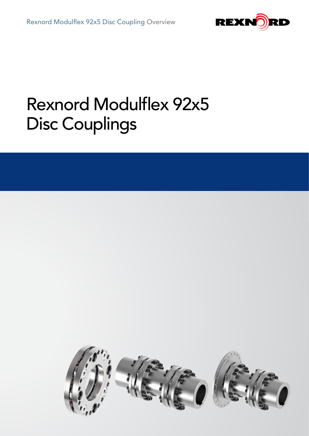

# Rexnord Modulflex 92x5 Disc Couplings

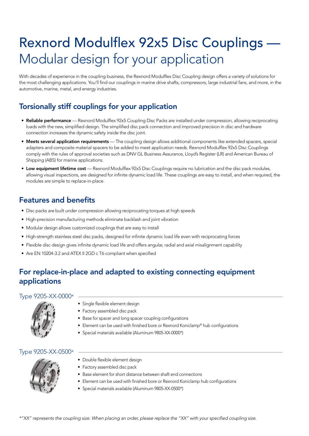# Rexnord Modulflex 92x5 Disc Couplings — Modular design for your application

With decades of experience in the coupling business, the Rexnord Modulflex Disc Coupling design offers a variety of solutions for the most challenging applications. You'll find our couplings in marine drive shafts, compressors, large industrial fans, and more, in the automotive, marine, metal, and energy industries.

# Torsionally stiff couplings for your application

- Reliable performance Rexnord Modulflex 92x5 Coupling Disc Packs are installed under compression, allowing reciprocating loads with the new, simplified design. The simplified disc pack connection and improved precision in disc and hardware connection increases the dynamic safety inside the disc joint.
- Meets several application requirements The coupling design allows additional components like extended spacers, special adapters and composite material spacers to be added to meet application needs. Rexnord Modulflex 92x5 Disc Couplings comply with the rules of approval societies such as DNV GL Business Assurance, Lloyd's Register (LR) and American Bureau of Shipping (ABS) for marine applications.
- Low equipment lifetime cost Rexnord Modulflex 92x5 Disc Couplings require no lubrication and the disc pack modules, allowing visual inspections, are designed for infinite dynamic load life. These couplings are easy to install, and when required, the modules are simple to replace-in-place.

# Features and benefits

- Disc packs are built under compression allowing reciprocating torques at high speeds
- High-precision manufacturing methods eliminate backlash and joint vibration
- Modular design allows customized couplings that are easy to install
- High-strength stainless steel disc packs, designed for infinite dynamic load life even with reciprocating forces
- Flexible disc design gives infinite dynamic load life and offers angular, radial and axial misalignment capability
- Are EN 10204-3.2 and ATEX II 2GD c T6 compliant when specified

# For replace-in-place and adapted to existing connecting equipment applications

### Type 9205-XX-0000\*



- Single flexible element design
- Factory assembled disc pack
- Base for spacer and long spacer coupling configurations
- Element can be used with finished bore or Rexnord Koniclamp® hub configurations
- Special materials available (Aluminum 9805-XX-0000\*)

## Type 9205-XX-0500\*



- Double flexible element design
- Factory assembled disc pack
- Base element for short distance between shaft end connections
- Element can be used with finished bore or Rexnord Koniclamp hub configurations
- Special materials available (Aluminum 9805-XX-0500\*)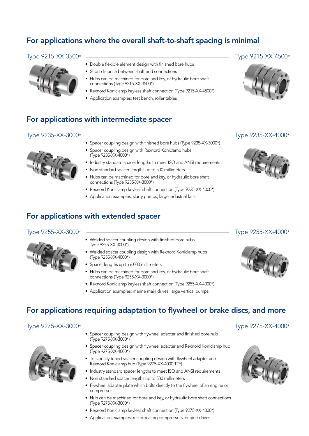# For applications where the overall shaft-to-shaft spacing is minimal



- Double flexible element design with finished bore hubs
- Short distance between shaft end connections
- Hubs can be machined for bore and key, or hydraulic bore shaft connections (Type 9215-XX-3500\*)
- Rexnord Koniclamp keyless shaft connection (Type 9215-XX-4500\*)
- Application examples: test bench, roller tables

# For applications with intermediate spacer

# Type 9235-XX-3000\* Type 9235-XX-4000\*



- Spacer coupling design with finished bore hubs (Type 9235-XX-3000\*)
- Spacer coupling design with Rexnord Koniclamp hubs (Type 9235-XX-4000\*)
- Industry standard spacer lengths to meet ISO and ANSI requirements
	- Non standard spacer lengths up to 500 millimeters
	- Hubs can be machined for bore and key, or hydraulic bore shaft connections (Type 9235-XX-3000\*)
- Rexnord Koniclamp keyless shaft connection (Type 9235-XX-4000\*)
- Application examples: slurry pumps, large industrial fans

# For applications with extended spacer

### Type 9255-XX-3000\* Type 9255-XX-4000\*



- Welded spacer coupling design with finished bore hubs Type 9255-XX-3000\*)
- Welded spacer coupling design with Rexnord Koniclamp hubs (Type 9255-XX-4000\*)
- Spacer lengths up to 6.000 millimeters
- Hubs can be machined for bore and key, or hydraulic bore shaft connections (Type 9255-XX-3000\*)
- Rexnord Koniclamp keyless shaft connection (Type 9255-XX-4000\*)
- Application examples: marine main drives, large vertical pumps

# For applications requiring adaptation to flywheel or brake discs, and more

# Type 9275-XX-3000\* Type 9275-XX-4000\*

- Spacer coupling design with flywheel adapter and finished bore hub (Type 9275-XX-3000\*)
- Spacer coupling design with flywheel adapter and Rexnord Koniclamp hub (Type 9275-XX-4000\*)
- Torsionally tuned spacer coupling design with flywheel adapter and Rexnord Koniclamp hub (Type 9275-XX-4000 TT\*)
- Industry standard spacer lengths to meet ISO and ANSI requirements
- Non standard spacer lengths up to 500 millimeters
- Flywheel adapter plate which bolts directly to the flywheel of an engine or compressor
- Hub can be machined for bore and key, or hydraulic bore shaft connections (Type 9275-XX-3000\*)
- Rexnord Koniclamp keyless shaft connection (Type 9275-XX-4000\*)
- Application examples: reciprocating compressors, engine drives